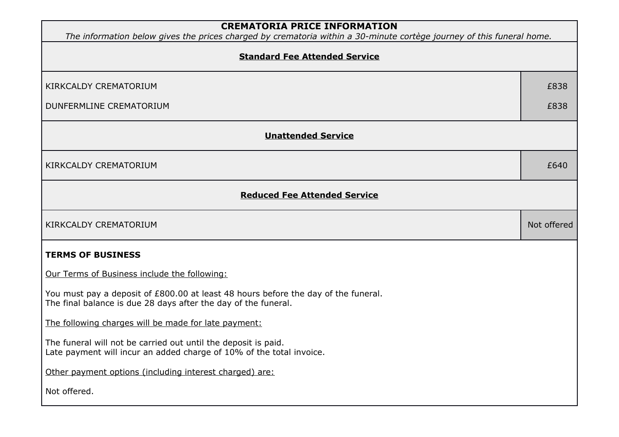| <b>CREMATORIA PRICE INFORMATION</b><br>The information below gives the prices charged by crematoria within a 30-minute cortège journey of this funeral home. |             |
|--------------------------------------------------------------------------------------------------------------------------------------------------------------|-------------|
| <b>Standard Fee Attended Service</b>                                                                                                                         |             |
| KIRKCALDY CREMATORIUM                                                                                                                                        | £838        |
| DUNFERMLINE CREMATORIUM                                                                                                                                      | £838        |
| <b>Unattended Service</b>                                                                                                                                    |             |
| KIRKCALDY CREMATORIUM                                                                                                                                        | £640        |
| <b>Reduced Fee Attended Service</b>                                                                                                                          |             |
| <b>KIRKCALDY CREMATORIUM</b>                                                                                                                                 | Not offered |
| <b>TERMS OF BUSINESS</b>                                                                                                                                     |             |
| Our Terms of Business include the following:                                                                                                                 |             |
| You must pay a deposit of £800.00 at least 48 hours before the day of the funeral.<br>The final balance is due 28 days after the day of the funeral.         |             |
| The following charges will be made for late payment:                                                                                                         |             |
| The funeral will not be carried out until the deposit is paid.<br>Late payment will incur an added charge of 10% of the total invoice.                       |             |
| Other payment options (including interest charged) are:                                                                                                      |             |
| Not offered.                                                                                                                                                 |             |